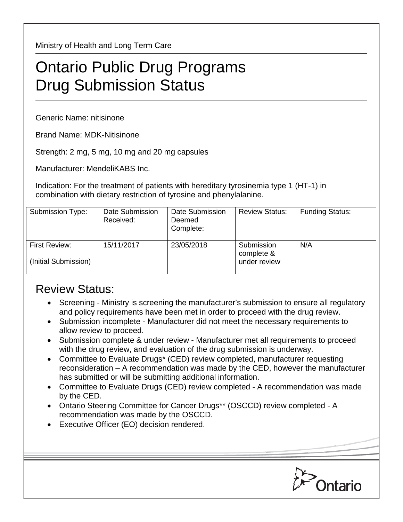Ministry of Health and Long Term Care

## Ontario Public Drug Programs Drug Submission Status

Generic Name: nitisinone

Brand Name: MDK-Nitisinone

Strength: 2 mg, 5 mg, 10 mg and 20 mg capsules

Manufacturer: MendeliKABS Inc.

Indication: For the treatment of patients with hereditary tyrosinemia type 1 (HT-1) in combination with dietary restriction of tyrosine and phenylalanine.

| Submission Type:                      | Date Submission<br>Received: | Date Submission<br>Deemed<br>Complete: | <b>Review Status:</b>                    | <b>Funding Status:</b> |
|---------------------------------------|------------------------------|----------------------------------------|------------------------------------------|------------------------|
| First Review:<br>(Initial Submission) | 15/11/2017                   | 23/05/2018                             | Submission<br>complete &<br>under review | N/A                    |

## Review Status:

- Screening Ministry is screening the manufacturer's submission to ensure all regulatory and policy requirements have been met in order to proceed with the drug review.
- Submission incomplete Manufacturer did not meet the necessary requirements to allow review to proceed.
- Submission complete & under review Manufacturer met all requirements to proceed with the drug review, and evaluation of the drug submission is underway.
- Committee to Evaluate Drugs\* (CED) review completed, manufacturer requesting reconsideration – A recommendation was made by the CED, however the manufacturer has submitted or will be submitting additional information.
- Committee to Evaluate Drugs (CED) review completed A recommendation was made by the CED.
- Ontario Steering Committee for Cancer Drugs\*\* (OSCCD) review completed A recommendation was made by the OSCCD.
- Executive Officer (EO) decision rendered.